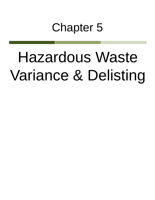# Chapter 5

# Hazardous Waste Variance & Delisting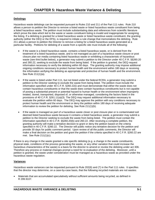# **Delistings**

Hazardous waste delistings can be requested pursuant to Rules 210 and 211 of the Part 111 rules. Rule 210 allows a person to petition the Director to remove a listed waste or listed hazardous waste constituent from being a listed hazardous waste. The petition must include substantiating data and references from scientific literature which prove the data which led to the waste or waste constituent listing is invalid and inappropriate for assigning the listing. If a delisting is granted for a listed hazardous waste or listed hazardous waste constituent, the granting authority (either the DEQ or the EPA), is required to initiate a rule change that memorializes the delisting. Rule 211 allows a person to petition the Director to remove a listing for a listed hazardous waste generated at a particular facility. Petitions for delisting of a waste from a specific site must include all of the following:

- If the waste is a listed hazardous waste, contains a listed hazardous waste, or is derived from the treatment of a listed hazardous waste, and is not managed as part of a hazardous waste closure or post closure plan nor media containing listed hazardous waste or exhibiting a characteristic of hazardous waste (see third bullet below), a generator may submit a petition to the Director under 40 C.F.R. §§260.20 and 260.22, seeking to exclude the waste from being listed. If the petition is granted, the DEQ request information necessary to verify the delisting within 60 days. The granting authority may impose additional ongoing conditions necessary to protect human health and the environment within 180 days or receiving the information verifying the delisting as appropriate and protective of human health and the environment. See Rule 211(1)(a).
- If the waste is listed under Part 111, but not listed under the federal RCRA, a generator may submit a petition to the Director seeking to exclude the waste from being listed. The petition must include the information specified under 40 C.F.R. §260.22(i) and must demonstrate that either the waste does not contain hazardous constituents or that the waste does contain hazardous constituents but is not capable of posing a substantial present or potential hazard to human health or the environment when improperly treated, stored, transported, disposed of, or otherwise managed, considering the factors listed in the provisions of 40 C.F.R. §261.11(a)(3). The DEQ may request additional information necessary to evaluate the petition within 60 days. The DEQ may approve the petition with any conditions necessary to protect human health and the environment or deny the petition within 180 days of receiving adequate information to review the petition for delisting. See Rule 211(1)(b).
- If the waste is managed as part of a hazardous waste closer or post closure plan or is contaminated soil deemed listed hazardous waste because it contains a listed hazardous waste, a generator may submit a petition to the Director seeking to exclude the waste from being listed. The petition must contain the information specified in 40 C.F.R. §§260.20(b) and 260.22. After receiving a complete petition, the granting authority will make a tentative decision to grant or deny the petition based on the criteria specified in 40 C.F.R. §260.22. The Director will public notice any tentative decision for the petition and provide 30 days for public comment period. Upon review of all the public comments, the Director will make a final decision on the petition and grant the petition if the criteria specified in 40 C.F.R. §260.22 are met. See Rule 211(1)(c).

If there is any change in the waste granted a site specific delisting (e.g. a change in the waste constituents, physical state, conditions of the process generating the waste, or any other variation that could increase the hazardous characteristics of the waste) is a basis for the director to amend or revoke the delisting under act 306. Therefore any process or material changes prompt a need for re-evaluation of the delisting. Moreover, until a petition is granted, the waste under consideration must be managed as a hazardous waste as provided under the hazardous waste regulation.

# **Variances**

Hazardous waste variances can be requested pursuant to Rule 202(6) and (7) in the Part 111 rules. It specifies that the director may determine, on a case-by-case basis, that the following recycled materials are not wastes:

• Materials that are accumulated speculatively without sufficient amounts being recycled, as defined in R 299.9107.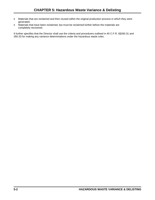- Materials that are reclaimed and then reused within the original production process in which they were generated.
- Materials that have been reclaimed, but must be reclaimed further before the materials are completely recovered.

It further specifies that the Director shall use the criteria and procedures outlined in 40 C.F.R. §§260.31 and 260.33 for making any variance determinations under the hazardous waste rules.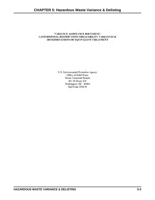# **VARIANCE ASSISTANCE DOCUMENT:** LAND DISPOSAL RESTRICTIONS TREATABILITY VARIANCES & DETERMINATIONS OF EQUIVALENT TREATMENT

U.S. Environmental Protection Agency Office of Solid Waste Waste Treatment Branch 401 M Street, SW Washington, DC 20460 Mail Code 5302-W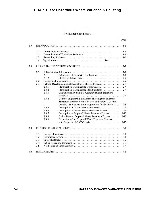# **TABLE OF CONTENTS**

| 1.0 |     |                |                                                                                                                |          |  |  |
|-----|-----|----------------|----------------------------------------------------------------------------------------------------------------|----------|--|--|
|     | 1,1 |                |                                                                                                                | $1 - 1$  |  |  |
|     | 1.2 |                |                                                                                                                | $1 - 3$  |  |  |
|     | 1.3 |                |                                                                                                                | $1-3$    |  |  |
|     | 1.4 |                |                                                                                                                |          |  |  |
| 2.0 |     |                |                                                                                                                |          |  |  |
|     | 2.1 |                |                                                                                                                | $2 - 1$  |  |  |
|     |     | 2.1.1          | Submission of Completed Applications                                                                           | $2 - 1$  |  |  |
|     |     | 2.1.2          | Identifying Information                                                                                        | $2 - 2$  |  |  |
|     | 2.2 |                |                                                                                                                | $2 - 2$  |  |  |
|     | 2.3 |                | Petition Development and Information Gathering Process                                                         | $2 - 3$  |  |  |
|     |     | 2.3.1          | Identification of Applicable Waste Codes                                                                       | $2 - 4$  |  |  |
|     |     | 2.3.2          | Identification of Applicable LDR Standards                                                                     | $2 - 4$  |  |  |
|     |     | 2.3.3          | Characterization of Initial Wastestream and Treatment                                                          |          |  |  |
|     |     |                |                                                                                                                | $2 - 4$  |  |  |
|     |     | 2.3.4          | Conduct Engineering Evaluation Showing that Either the<br>Treatment Standard Cannot be Met or the BDAT Used to |          |  |  |
|     |     |                | Develop the Standard is not Appropriate for the Waste                                                          | $2 - 8$  |  |  |
|     |     | 2.3.5          | Description of Waste Generation Process                                                                        | $2-9$    |  |  |
|     |     | 2.3.6          | Description of Current Waste Treatment Process                                                                 | $2 - 9$  |  |  |
|     |     | 2.3.7          | Description of Proposed Waste Treatment Process                                                                | $2 - 10$ |  |  |
|     |     | 2.3.8          | Gather Data on Proposed Waste Treatment Process                                                                | $2 - 10$ |  |  |
|     |     | 2.3.9          | Evaluation of the Proposed Waste Treatment Process                                                             |          |  |  |
|     |     |                | with Respect to BDAT Criteria                                                                                  | $2 - 13$ |  |  |
| 3.0 |     |                |                                                                                                                |          |  |  |
|     | 3.1 |                |                                                                                                                | $3-1$    |  |  |
|     | 3.2 |                |                                                                                                                | $3 - 1$  |  |  |
|     |     | 3.3<br>$3 - 2$ |                                                                                                                |          |  |  |
|     | 3.4 |                | Public Notice and Comment Commercial Communications of the Internet of the                                     | $3 - 3$  |  |  |
|     | 3.5 |                |                                                                                                                | $3 - 4$  |  |  |
| 4.0 |     |                |                                                                                                                | $4 - 1$  |  |  |

Page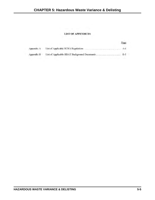# **LIST OF APPENDICES**

|            | Page |  |
|------------|------|--|
| Appendix A |      |  |
| Appendix B |      |  |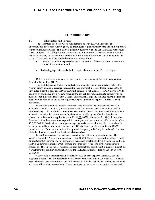# **1.0 INTRODUCTION**

### $1.1$ **Introduction and Purpose**

The Hazardous and Solid Waste Amendments of 1984 (HSWA), require the Environmental Protection Agency (EPA) to promulgate regulations restricting the land disposal of untreated hazardous waste. This effort is generally referred to as the Land Disposal Restrictions (LDR) program. The LDR program identifies levels or methods of treatment that substantially reduce the toxicity of a waste or the likelihood of migration of hazardous constituents from the waste. These levels or LDR standards come in two basic forms:

- Numerical standards expressed as the concentration of hazardous constituents in the residuals from treatment, and
- Technology-specific standards that require the use of a specific technology.

Both types of LDR standards are based on the performance of the Best Demonstrated Available Technology (BDAT).

The land disposal restrictions are effective immediately upon promulgation unless the Agency grants a national variance based on the lack of available BDAT treatment capacity. If EPA determines that adequate BDAT treatment capacity is not available, HSWA allows EPA to establish an alternative effective date based on the earliest date when adequate capacity will be available, but in no case longer than 2 years. These national capacity variance determinations are made on a national level and do not require any type of petition or application from affected generators.

In addition to national capacity variances, case-by-case capacity extensions are also available. (See 40 CFR 268.5.) Case-by-case extensions require generators to file a petition demonstrating "...that a binding contract has been entered into to construct or otherwise provide alternative capacity that cannot reasonably be made available by the effective date due to circumstances beyond the applicant's control" (51 FR 40579, November 7, 1986). In addition, there are 6 other demonstrations required for case-by-case extensions to an effective date. (See 40 CFR 268.5.) National and case-by-case capacity variances are designed for cases where the waste, presumably, can be treated to meet the LDR standard, but where insufficient BDAT capacity exists. These variances, therefore, provide temporary relief only from the effective date of the LDR standards, not from the standards themselves.

In addition to capacity extensions, generators can obtain a variance from the LDR standards through a "no migration petition." (See 40 CFR 268.6.) No migration petitions must demonstrate that there will be no migration of hazardous constituents from the disposal unit (e.g., landfill, underground injection well, surface impoundment) for as long as the waste remains hazardous. These petitions are wastestream and disposal unit specific and, if granted, exempt the wastestream/disposal unit combination from the LDR standards (specifically, Subpart C of 40 CFR 268).

Consequently, national capacity variances, case-by-case capacity variances, and "no migration petitions" are not applicable to wastes that cannot meet the LDR standard. To handle cases where the waste cannot meet the LDR standards, EPA has established equivalent treatment and treatability variance procedures. These two types of variances correspond to the two basic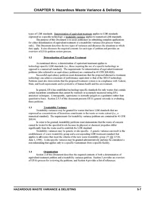types of LDR standards. Determination of equivalent treatment applies to LDR standards expressed as a specific technology; a treatability variance applies to numerical LDR standards.

The purpose of this Document is to assist petitioners in submitting complete applications for either determination of equivalent treatment or a treatability variance (for process wastes only). This Document describes the two types of variances and discusses the situations to which they apply. It also discusses the required contents for each type of petition and provides an overview of EPA's petition review process.

### $1.2$ **Determination of Equivalent Treatment**

As mentioned above, a determination of equivalent treatment applies to technology-specific LDR standards (i.e., those requiring the use of a specific technology as opposed to a numerical standard). The requirements for determination of equivalent treatment petitions (also referred to as equivalency petitions) are contained in 40 CFR 268.42(b).

Successful equivalency petitions must demonstrate that the proposed alternative treatment technology can achieve a measure of performance equivalent to that of the BDAT technology. Petitions must also demonstrate that the proposed treatment system is in compliance with Federal, State, and local requirements and is protective of human health and the environment.

In general, EPA has established technology-specific standards for only wastes that contain certain hazardous constituents that cannot be routinely or accurately measured using EPA analytical techniques. Consequently, equivalency is normally judged on a qualitative rather than quantitative basis. Section 2.3.5 of this document presents EPA's general rationale in evaluating these petitions.

### $1.3$ **Treatability Variance**

Treatability variances may be granted for wastes that have LDR standards that are expressed as concentrations of hazardous constituents in the waste or waste extract (i.e., a numerical standard). The requirements for treatability variance petitions are contained in 40 CFR 268.44.

In order to be granted, treatability petitions must demonstrate that the waste of concern cannot be treated to the specified levels because its physical or chemical properties differ significantly from the waste used to establish the LDR standard.

Treatability variances may be generic or site-specific. A generic variance can result in the establishment of a new treatability group and a corresponding LDR treatment standard that applies to all wastes that meet the criteria of the new waste treatability group (55 FR 22526, June 1, 1990). A site-specific variance may be granted administratively and may be considered a non-rulemaking that applies only to a specific wastestream from a specific facility.

### $1.4$ Organization

Section 2 of this Document describes the required contents of both a determination of equivalent treatment petition and a treatability variance petition. Section 3 provides an overview of EPA's process for reviewing the petitions, and Section 4 provides a list of references.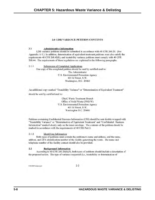# **2.0 LDR VARIANCE PETITION CONTENTS**

### $2.1$ **Administrative Information**

LDR variance petitions should be submitted in accordance with 40 CFR 260.20. (See Appendix A-1.) In addition, determination of equivalent treatment petitions must also satisfy the requirements 40 CFR 268.42(b), and treatability variance petitions must comply with 40 CFR 268.44. The requirements of these regulations are explained in the following paragraphs.

 $2.1.1$ Submission of Completed Applications One copy of the completed petition should be sent by certified mail to: The Administrator U.S. Environmental Protection Agency 401 M Street, S.W. Washington, D.C. 20460

An additional copy marked "Treatability Variance" or "Determination of Equivalent Treatment"

should be sent by certified mail to:

Chief, Waste Treatment Branch Office of Solid Waste (5302-W) U.S. Environmental Protection Agency 401 M Street, S.W. Washington D.C. 20460

Petitions containing Confidential Business Information (CBI) should be sent double wrapped with "Treatability Variance" or "Determination of Equivalent Treatment" and "Confidential Business Information" marked clearly only on the inner envelope. The contents of the petition should be marked in accordance with the requirements of 40 CFR Part 2.

### $2.1.2$ Identifying Information

Both types of petitions must contain the petitioner's name and address, and the name, address, and EPA identification number of the facility generating the waste. The name and telephone number of the facility contact should also be provided.

### $2.2$ **Background Information**

According to 40 CFR 260.20(b)(3), both types of petitions should include a description of the proposed action. The type of variance requested (i.e., treatability or determination of

2121/002/variance.pet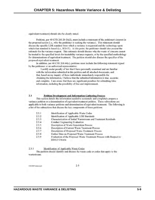equivalent treatment) should also be clearly stated.

Petitions, per 40 CFR 260.20 (b)(2), must include a statement of the petitioner's interest in the proposed action (i.e., why the petitioner is seeking the variance). This statement should discuss the specific LDR standard from which a variance is requested and the technology upon which that standard is based (i.e., BDAT). At this point, the petitioner should also present the rationale for the variance request. This rationale should discuss why the waste of concern cannot be treated to the specified levels for treatability variance requests, or by the specified methodology for determinations of equivalent treatment. The petition should also discuss the specifics of the proposed equivalent treatment.

In addition, per 40 CFR  $268.44(c)$ , petitions must include the following statement signed by the petitioner or an authorized representative:

I certify under penalty of law that I have personally examined and am familiar with the information submitted in this petition and all attached documents, and that, based on my inquiry of those individuals immediately responsible for obtaining the information, I believe that the submitted information is true, accurate, and complete. I am aware that there are significant penalties for submitting false information, including the possibility of fine and imprisonment.

### $2.3$ **Petition Development and Information Gathering Process**

This section details the information needed to accurately and completely prepare a variance petition or a determination of equivalent treatment petition. These subsections are applicable to both variance petitions and determination of equivalent treatment. The following is a list of the subsections that discuss the key components of these petitions:

| 2.3.1 | Identification of Applicable Waste Codes                           |  |
|-------|--------------------------------------------------------------------|--|
| 2.3.2 | Identification of Applicable LDR Standards                         |  |
| 2.3.3 | Characterization of Initial Wastestream and Treatment Residuals    |  |
| 2.3.4 | Conduct Engineering Evaluation                                     |  |
| 2.3.5 | Description of Waste Generation Process                            |  |
| 2.3.6 | Description of Current Waste Treatment Process                     |  |
| 2.3.7 | Description of Proposed Waste Treatment Process                    |  |
| 2.3.8 | Gather Data on Proposed Waste Treatment Process                    |  |
| 2.3.9 | Evaluation of the Proposed Waste Treatment Process with Respect to |  |
|       | <b>BDAT</b> Criteria                                               |  |
|       |                                                                    |  |

| 2.3.1 | <b>Identification of Applicable Waste Codes</b> |
|-------|-------------------------------------------------|
|       |                                                 |

The petition should identify and discuss the waste code or codes that apply to the wastestream.

2121/002/variance.pet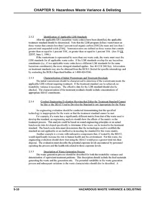### $2.3.2$ Identification of Applicable LDR Standards

After the applicable EPA hazardous waste code(s) have been identified, the applicable treatment standard should be determined. Note that the LDR program defines wastewaters as those wastes that contain less than 1 percent total organic carbon [TOC] by mass and less than 1 percent total suspended solids [TSS]. Nonwastewaters are defined as those wastes that contain greater than or equal to 1 percent TOC, or greater than or equal to 1 percent TSS. (See 55 FR 22537, June 1, 1990.)

If the wastestream is represented by more than one waste code, the waste must meet the LDR standards for all applicable waste codes. If the LDR standards overlap for any hazardous constituents (*i.e.,* if two applicable waste codes have a different LDR standards for the same hazardous constituents), the more stringent standard applies. See 40 CFR 268.9(a). Information on treatment standards may also be obtained from the RCRA Docket for specific rulemakings and by contacting the RCRA/Superfund hotline at 1-800-424-9346.

### $2.3.3$ Characterization of Initial Wastestream and Treatment Residuals

The initial wastestream should be characterized to determine if the wastestream meets the applicable LDR without requiring treatment. If the treatment standard can be achieved, no treatability variance is necessary. The effective date for the LDR standard should also be checked. The characterization of the treatment residuals should include concentrations of appropriate BDAT constituents.

### $2.3.4$ Conduct Engineering Evaluation Showing that Either the Treatment Standard Cannot be Met or the BDAT Used to Develop the Standard is not Appropriate for the Waste

An engineering evaluation should be conducted demonstrating that the specified technology is inappropriate for the waste or that the treatment standard cannot be met.

For example, if a waste has a significantly different matrix from that of the waste used to develop the standard, an engineering analysis should show the effects of the matrix on the treatment process. This analysis could be based on sound engineering principles or on actual bench-scale data developed specifically to determine if the waste can be treated to the treatment standard. The bench-scale data must demonstrate that the technologies used to establish the standard are not applicable or are ineffective in meeting the standard for this waste matrix.

Another example is a waste with radioactive components that, if treated by the BDAT, would significantly increase the risk to human health and the environment. For this waste, the engineering evaluation should show that using the BDAT would pose a greater total risk than disposal. The evaluation must describe the potential exposure levels encountered by personnel operating the process and the health risk related to those exposure levels.

### $2.3.5$ Description of Waste Generation Process

The waste generation process should be described for both the treatability variance and determination of equivalent treatment petitions. This description should include the feed materials generating the waste and the generation rate. The potential variability in the waste generation process and subsequent variations in the waste characteristics should also be described. A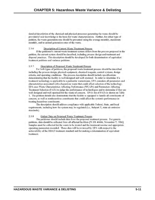detailed description of the chemical and physical processes generating the waste should be provided if user knowledge is the basis for waste characterization. Further, for either type of petition, the waste generation rate should be presented using the average monthly, maximum monthly, and/or annual generation rates of the waste.

### 2.3.6 Description of Current Waste Treatment Process

If the petitioner's current waste treatment system differs from the process proposed in the petition, the current system should be described, including process design and treatment and disposal practices. This description should be developed for both determination of equivalent treatment petitions and variance petitions.

### $2.3.7$ Description of Proposed Waste Treatment Process

For both types of petitions, the proposed waste treatment process should be described including the process design, physical equipment, chemical reagents, control systems, design criteria, and operating conditions. The process description should include specifications demonstrating that the facility is well designed and well operated. In order to determine if a treatment technology is applicable to a particular wastestream, EPA considers all parameters and characteristics associated with a hazardous waste that could affect selection of the technology. EPA uses Waste Characteristics Affecting Performance (WCAPs) and Parameters Affecting Treatment Selection (PATs) to judge the performance of technologies and to determine if they are well designed and well operated for the waste of concern. EPA's list of PATs is shown on Table 1. The petition should also demonstrate that the facility is equipped to handle all constituents of concern, as well as nonhazardous constituents that could affect the system's performance in treating hazardous constituents.

The description should address compliance with applicable Federal, State, and local requirements, including how the system may be regulated (i.e., Subpart X, state air emission standards).

### $2.3.8$ Gather Data on Proposed Waste Treatment Process

The petitioner should include data from the proposed treatment process. For generic petitions, data should be collected from all affected facilities [51 FR 40606, November 7, 1986]. Samples must be collected for the waste to be treated and the treatment residue and appropriate operating parameters recorded. These data will be reviewed by EPA with respect to the achievability of the BDAT treatment standard and for making a determination of equivalent treatment.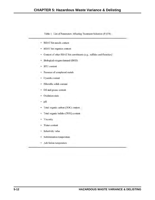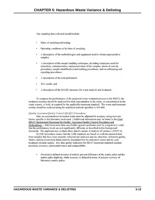Any sampling data collected should include:

- Dates of sampling and testing;
- Operating conditions at the time of sampling;
- A description of the methodologies and equipment used to obtain representative samples;
- A description of the sample handling techniques, including techniques used for extraction, containerization, and preservation of the samples; chain-of-custody procedures; sample identification and marking procedures; and recordkeeping and reporting procedures;
- A description of the tests performed;
- Test results; and
- A description of the QA/QC measures for waste analysis and treatment.

To compare the performance of the proposed waste treatment process to the BDAT, the treatment residues should be analyzed for total concentration in the waste, or concentration in the waste extract, or both, as required by the applicable treatment standard. The waste and treatment residue should be analyzed using the analytical methods specified in SW-846.

## Ouality Assurance/Ouality Control (OA/OC) Procedures

Data on concentrations in treated waste must be adjusted for accuracy using recovery factors specific to the laboratory tests used. (Additional information may be found in the Final BDAT Background Document for Quality Assurance/Quality Control Procedures and Methodology.) Data from more than one facility (generic petitions) must be compared to verify that the performance levels are not significantly different, as described in this background document. The applicant may evaluate these data by means of analysis of variance (ANOVA).

OA/QC procedures assure that the LDR standards are based on well-documented data from samples that have been properly collected and analyzed and are, therefore, of known quality, Matrix analytical detection limits must be determined for the untreated wastes and for each treatment residual sample. Key data quality indicators for BDAT treatment standards include: precision, accuracy, representativeness and comparability.

Precision is defined in terms of relative percent difference of the matrix spike and the matrix spike duplicate, while accuracy is defined in terms of percent recovery of laboratory matrix spikes.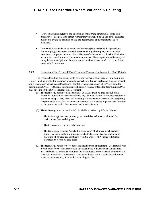- Representativeness refers to the selection of appropriate sampling locations and procedures. The goal is to obtain representative matched data pairs of the untreated matrix and treatment residues so that the performance of the treatment can be evaluated.
- Comparability is achieved by using consistent sampling and analytical procedures. For example, grab samples should be compared to grab samples, and composite samples to composite samples. The collection of matched data pairs should take into account the retention time of the treatment process. The samples should be analyzed using the same analytical techniques, and the analytical data should be reported in the same units for each test.

### 2.3.9 Evaluation of the Proposed Waste Treatment Process with Respect to BDAT Criteria

The proposed treatment process should be consistent with EPA's criteria for determining BDAT. In other words, the treatment should be protective of human health and the envrionment, and it should provide substantial treatment. The following is a summary of EPA's criteria for determining BDAT. (Additional information with respect to EPA criteria for determining BDAT may be found in the BDAT Methodology Document.)

- (1) The technology must be "demonstrated." A BDAT must be used in a full-scale operation. Where EPA does not identify any facilities treating specific wastes from a particular group, it may "transfer" a finding of demonstrated treatment by comparing the parameters that affect treatment of the target waste group to parameters for other waste groups for which demonstrated treatment is known.
- (2) The technology must be "available." Available is defined by EPA as follows:
	- The technology does not present greater total risk to human health and the environment than land disposal.
	- The technology is commercially available.
	- The technology provides "substantial treatment," which mean it substantially diminishes the toxicity of a waste or substantially diminishes the likelihood of migration of hazardous constituents from the waste. EPA judges substantial treatment on a case-by-case basis.
- (3) The technology must be "best" based on effectiveness of treatment. Economic factors are not considered. When more than one technology is identified as demonstrated and available, the treatment data from the technologies are statistically compared (i.e., Analysis of Variance) to determine if the technologies provide statistically different levels of treatment and, if so, which technology is "best."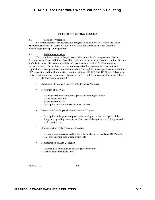# **3.0 PETITION REVIEW PROCESS**

### $3.1$ **Receipt of Variance**

Following receipt of the petition, it is assigned to an EPA reviewer within the Waste Treatment Branch of the Office of Solid Waste. EPA will send a letter to the petitioner acknowledging receipt of the petition.

### $3.2$ **Preliminary Review**

The preliminary review of the petition consists primarily of a completeness check to determine what, if any, additional data EPA requires to evaluate the merit of the petition. Section 2 of this document discusses in detail the information that is required for EPA to review a variance petition. This section presents a summary list of the necessary information that is required of variance petitions. Note that submittal of incomplete variance petitions may result in EPA requesting additional information from the petitioner [40 CFR 268.44(d)], thus delaying the petition review process. In summary, the contents of a complete variance petition are as follows:

- **Identification of Applicant**
- Statement of Petitioner's Interest in the Proposed Variance
- Description of the Waste
	- Waste generation/description of process generating the waste
	- Waste characterization
	- Waste generation rate
	- Description of current waste treatment process
- Discussion of the Proposed Waste Treatment Process
	- Description of the proposed process for treating the waste/description of the design and operating parameters to determine if the system is well designed and well operated, etc.
- Characterization of the Treatment Residues
	- Corresponding untreated and treated data should be provided and TCLP and/or total concentration data where appropriate
- Documentation of Data Collection
	- Discussion of sampling and analysis procedures used
	- Analytical methodologies used

2121/002/variance.pet

 $3 - 1$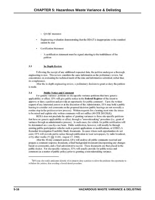QA/QC measures

- Engineering evaluation demonstrating that the BDAT is inappropriate or the standard cannot be met
- **Certification Statement** 
	- A certification statement must be signed attesting to the truthfulness of the petition

### 3.3 **In-Depth Review**

Following the receipt of any additional requested data, the petition undergoes a thorough engineering review. This review considers the same information as the preliminary review, but concentrates on evaluating the technical merit of the data and information submitted, rather than its completeness.

After the in-depth engineering review, a preliminary decision to grant or deny the petition is made.

### $3.4$ **Public Notice and Comment**

For generic variance petitions or site-specific variance petitions that have generic applicability or effect, EPA will give public notice in the Federal Register of the intent to approve or deny a petition and provide an opportunity for public comment! Upon the written request of any interested person or at the discretion of the Administrator, EPA may hold a public hearing to consider oral comments on the proposed decision (public hearings are not normally a routine step in the petition review process). Written requests for a hearing must state the issues to be raised and explain why written comments will not suffice (40 CFR 260.20(d)).

RCRA does not preclude the option of granting variances to those site-specific petitions that have no generic applicability or effect, through a "non-rulemaking" procedure (i.e., grant of variance through an administrative process). In such cases, the vehicle for public notification will be determined on a case-by-case basis. Public notification, however, will usually be through existing public participation vehicles such as permit applications or modifications, or CERCLA Remedial Investigation/Feasibility Study documents. In cases where such opportunities do not exist, EPA will provide public notice through publication in local newspapers, by radio broadcast, or by other media (53 FR 31200, August 17, 1988).

After the 30-day comment period, EPA will analyze all public comments received and prepare a comment response document, a final background document (incorporating any changes based on comments), and a final administrative record. These documents are then placed in the public docket. For site-specific variances, EPA will usually provide for public notice and comment (as a matter of public policy) prior to granting a non-rulemaking variance.

EPA may also notify petitioners directly of its intent to deny a petition to allow the petitioner the opportunity to withdraw the petition, thus avoiding a formal denial procedure.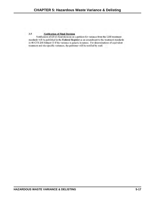### $3.5$ **Notification of Final Decision**

Notification of EPA's final decision on a petition for variance from the LDR treatment standards will be published in the Federal Register as an amendment to the treatment standards in 40 CFR 268 Subpart D if the variance is generic in nature. For determinations of equivalent treatment and site-specific variances, the petitioner will be notified by mail.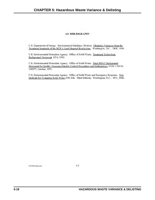# **4.0 BIBLIOGRAPHY**

U.S. Department of Energy. Environmental Guidance Division. Obtaining Variances from the Treatment Standards of the RCRA Land Disposal Restrictions. Washington, D.C.: DOE, 1990.

U.S. Environmental Protection Agency. Office of Solid Waste. Treatment Technology Background Document EPA, 1990.

U.S. Environmental Protection Agency. Office of Solid Waste. Final BDAT Background Document for Quality Assurance/Quality Control Procedures and Methodology NTIS # PB-92-149277, October, 1991.

U.S. Environmental Protection Agency. Office of Solid Waste and Emergency Response. Test Methods for Evaluating Solid Waste (SW-846. Third Edition). Washington, D.C.: EPA, 1986.

T121/002/variance.pet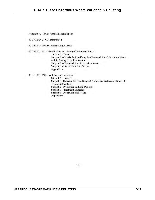Appendix A: List of Applicable Regulations

40 CFR Part 2 - CBI Information

40 CFR Part 260.20 - Rulemaking Petitions

40 CFR Part 261 - Identification and Listing of Hazardous Waste

Subpart A - General Subpart B - Criteria for Identifying the Characteristics of Hazardous Waste and for Listing Hazardous Wastes Subpart C - Characteristics of Hazardous Waste Subpart D - List of Hazardous Wastes Appendices

40 CFR Part 268 - Land Disposal Restrictions

Subpart A - General Subpart B - Schedule for Land Disposal Prohibitions and Establishment of **Treatment Standards** Subpart C - Prohibition on Land Disposal Subpart D - Treatment Standards Subpart E - Prohibition on Storage Appendices

 $A-1$